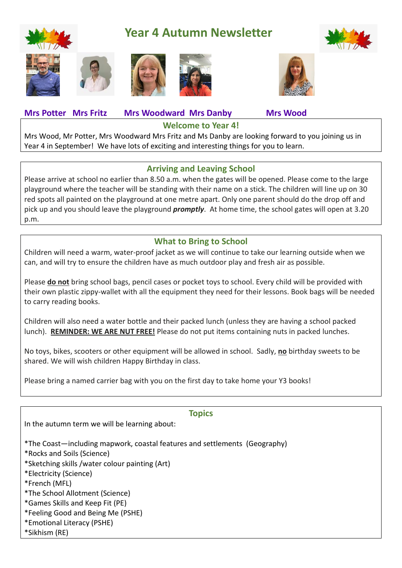

# **Year 4 Autumn Newsletter**





**Mrs Potter Mrs Fritz Mrs Woodward Mrs Danby Mrs Wood**

Mrs Wood, Mr Potter, Mrs Woodward Mrs Fritz and Ms Danby are looking forward to you joining us in Year 4 in September! We have lots of exciting and interesting things for you to learn.

## **Arriving and Leaving School**

**Welcome to Year 4!**

Please arrive at school no earlier than 8.50 a.m. when the gates will be opened. Please come to the large playground where the teacher will be standing with their name on a stick. The children will line up on 30 red spots all painted on the playground at one metre apart. Only one parent should do the drop off and pick up and you should leave the playground *promptly*. At home time, the school gates will open at 3.20 p.m.

## **What to Bring to School**

Children will need a warm, water-proof jacket as we will continue to take our learning outside when we can, and will try to ensure the children have as much outdoor play and fresh air as possible.

Please **do not** bring school bags, pencil cases or pocket toys to school. Every child will be provided with their own plastic zippy-wallet with all the equipment they need for their lessons. Book bags will be needed to carry reading books.

Children will also need a water bottle and their packed lunch (unless they are having a school packed lunch). **REMINDER: WE ARE NUT FREE!** Please do not put items containing nuts in packed lunches.

No toys, bikes, scooters or other equipment will be allowed in school. Sadly, **no** birthday sweets to be shared. We will wish children Happy Birthday in class.

Please bring a named carrier bag with you on the first day to take home your Y3 books!

|    | ×         |
|----|-----------|
| ۰. | - -<br>۰. |

In the autumn term we will be learning about:

\*The Coast—including mapwork, coastal features and settlements (Geography)

\*Rocks and Soils (Science)

\*Sketching skills /water colour painting (Art)

\*Electricity (Science)

\*French (MFL)

\*The School Allotment (Science)

\*Games Skills and Keep Fit (PE)

\*Feeling Good and Being Me (PSHE)

\*Emotional Literacy (PSHE)

\*Sikhism (RE)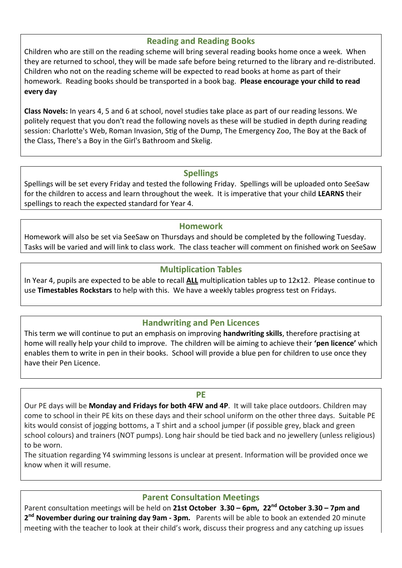### **Reading and Reading Books**

Children who are still on the reading scheme will bring several reading books home once a week. When they are returned to school, they will be made safe before being returned to the library and re-distributed. Children who not on the reading scheme will be expected to read books at home as part of their homework. Reading books should be transported in a book bag. **Please encourage your child to read every day**

**Class Novels:** In years 4, 5 and 6 at school, novel studies take place as part of our reading lessons. We politely request that you don't read the following novels as these will be studied in depth during reading session: Charlotte's Web, Roman Invasion, Stig of the Dump, The Emergency Zoo, The Boy at the Back of the Class, There's a Boy in the Girl's Bathroom and Skelig.

#### **Spellings**

Spellings will be set every Friday and tested the following Friday. Spellings will be uploaded onto SeeSaw for the children to access and learn throughout the week. It is imperative that your child **LEARNS** their spellings to reach the expected standard for Year 4.

#### **Homework**

Homework will also be set via SeeSaw on Thursdays and should be completed by the following Tuesday. Tasks will be varied and will link to class work. The class teacher will comment on finished work on SeeSaw

#### **Multiplication Tables**

In Year 4, pupils are expected to be able to recall **ALL** multiplication tables up to 12x12. Please continue to use **Timestables Rockstars** to help with this. We have a weekly tables progress test on Fridays.

### **Handwriting and Pen Licences**

This term we will continue to put an emphasis on improving **handwriting skills**, therefore practising at home will really help your child to improve. The children will be aiming to achieve their **'pen licence'** which enables them to write in pen in their books. School will provide a blue pen for children to use once they have their Pen Licence.

#### **PE**

Our PE days will be **Monday and Fridays for both 4FW and 4P**. It will take place outdoors. Children may come to school in their PE kits on these days and their school uniform on the other three days. Suitable PE kits would consist of jogging bottoms, a T shirt and a school jumper (if possible grey, black and green school colours) and trainers (NOT pumps). Long hair should be tied back and no jewellery (unless religious) to be worn.

The situation regarding Y4 swimming lessons is unclear at present. Information will be provided once we know when it will resume.

### **Parent Consultation Meetings**

Parent consultation meetings will be held on **21st October 3.30 – 6pm, 22nd October 3.30 – 7pm and 2 nd November during our training day 9am - 3pm.** Parents will be able to book an extended 20 minute meeting with the teacher to look at their child's work, discuss their progress and any catching up issues